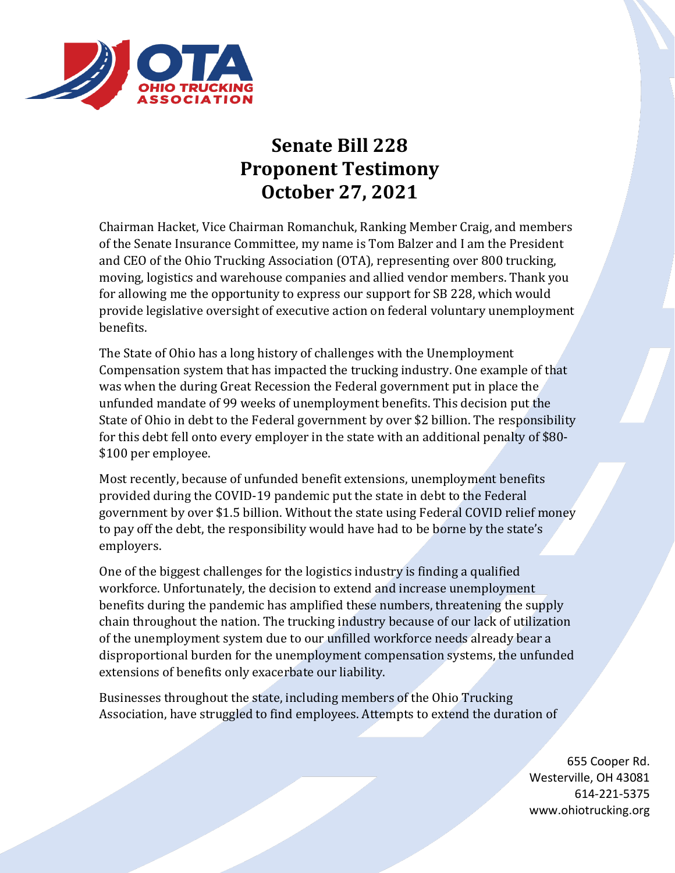

## **Senate Bill 228 Proponent Testimony October 27, 2021**

Chairman Hacket, Vice Chairman Romanchuk, Ranking Member Craig, and members of the Senate Insurance Committee, my name is Tom Balzer and I am the President and CEO of the Ohio Trucking Association (OTA), representing over 800 trucking, moving, logistics and warehouse companies and allied vendor members. Thank you for allowing me the opportunity to express our support for SB 228, which would provide legislative oversight of executive action on federal voluntary unemployment benefits.

The State of Ohio has a long history of challenges with the Unemployment Compensation system that has impacted the trucking industry. One example of that was when the during Great Recession the Federal government put in place the unfunded mandate of 99 weeks of unemployment benefits. This decision put the State of Ohio in debt to the Federal government by over \$2 billion. The responsibility for this debt fell onto every employer in the state with an additional penalty of \$80- \$100 per employee.

Most recently, because of unfunded benefit extensions, unemployment benefits provided during the COVID-19 pandemic put the state in debt to the Federal government by over \$1.5 billion. Without the state using Federal COVID relief money to pay off the debt, the responsibility would have had to be borne by the state's employers.

One of the biggest challenges for the logistics industry is finding a qualified workforce. Unfortunately, the decision to extend and increase unemployment benefits during the pandemic has amplified these numbers, threatening the supply chain throughout the nation. The trucking industry because of our lack of utilization of the unemployment system due to our unfilled workforce needs already bear a disproportional burden for the unemployment compensation systems, the unfunded extensions of benefits only exacerbate our liability.

Businesses throughout the state, including members of the Ohio Trucking Association, have struggled to find employees. Attempts to extend the duration of

> 655 Cooper Rd. Westerville, OH 43081 614-221-5375 www.ohiotrucking.org